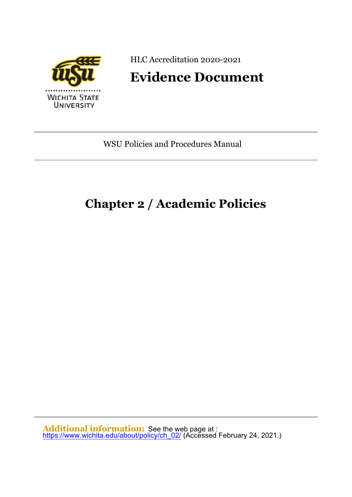

HLC Accreditation 2020-2021

# **Evidence Document**

WSU Policies and Procedures Manual

# **Chapter 2 / Academic Policies**

**Additional information:** See the web page at : <u>[https://www.wichita.edu/about/policy/ch\\_02/](https://www.wichita.edu/about/policy/ch_02/)</u> (Accessed February 24, 2021.)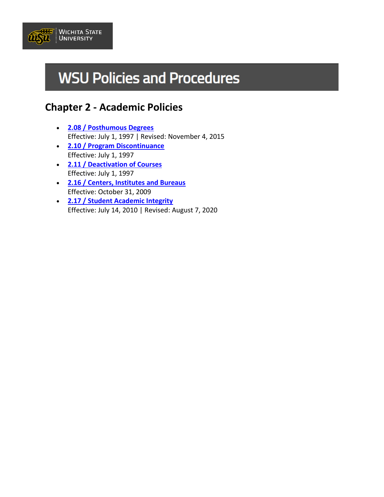

# **WSU Policies and Procedures**

# **Chapter 2 - Academic Policies**

- **[2.08 / Posthumous Degrees](https://www.wichita.edu/about/policy/ch_02/ch2_08.php)** Effective: July 1, 1997 | Revised: November 4, 2015
- **[2.10 / Program Discontinuance](https://www.wichita.edu/about/policy/ch_02/ch2_10.php)** Effective: July 1, 1997
- **[2.11 / Deactivation of Courses](https://www.wichita.edu/about/policy/ch_02/ch2_11.php)** Effective: July 1, 1997
- **[2.16 / Centers, Institutes and Bureaus](https://www.wichita.edu/about/policy/ch_02/ch2_16.php)** Effective: October 31, 2009
- **[2.17 / Student Academic Integrity](https://www.wichita.edu/about/policy/ch_02/ch2_17.php)** Effective: July 14, 2010 | Revised: August 7, 2020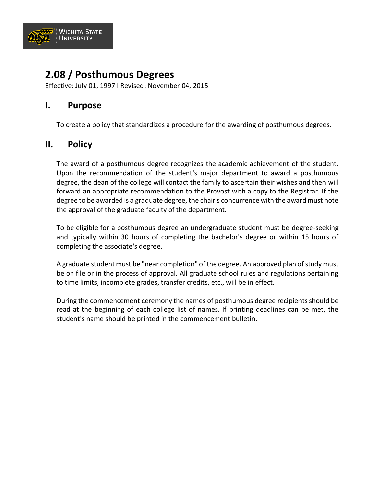

# **2.08 / Posthumous Degrees**

Effective: July 01, 1997 I Revised: November 04, 2015

#### **I. Purpose**

To create a policy that standardizes a procedure for the awarding of posthumous degrees.

### **II. Policy**

The award of a posthumous degree recognizes the academic achievement of the student. Upon the recommendation of the student's major department to award a posthumous degree, the dean of the college will contact the family to ascertain their wishes and then will forward an appropriate recommendation to the Provost with a copy to the Registrar. If the degree to be awarded is a graduate degree, the chair's concurrence with the award must note the approval of the graduate faculty of the department.

To be eligible for a posthumous degree an undergraduate student must be degree-seeking and typically within 30 hours of completing the bachelor's degree or within 15 hours of completing the associate's degree.

A graduate student must be "near completion" of the degree. An approved plan of study must be on file or in the process of approval. All graduate school rules and regulations pertaining to time limits, incomplete grades, transfer credits, etc., will be in effect.

During the commencement ceremony the names of posthumous degree recipients should be read at the beginning of each college list of names. If printing deadlines can be met, the student's name should be printed in the commencement bulletin.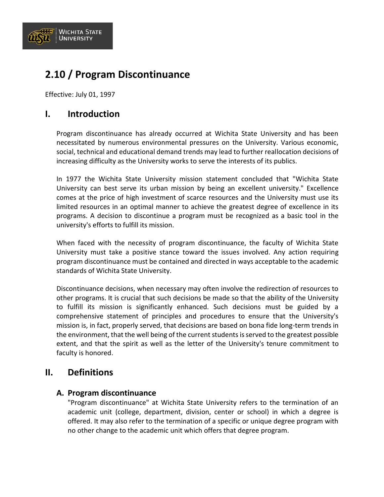

# **2.10 / Program Discontinuance**

Effective: July 01, 1997

### **I. Introduction**

Program discontinuance has already occurred at Wichita State University and has been necessitated by numerous environmental pressures on the University. Various economic, social, technical and educational demand trends may lead to further reallocation decisions of increasing difficulty as the University works to serve the interests of its publics.

In 1977 the Wichita State University mission statement concluded that "Wichita State University can best serve its urban mission by being an excellent university." Excellence comes at the price of high investment of scarce resources and the University must use its limited resources in an optimal manner to achieve the greatest degree of excellence in its programs. A decision to discontinue a program must be recognized as a basic tool in the university's efforts to fulfill its mission.

When faced with the necessity of program discontinuance, the faculty of Wichita State University must take a positive stance toward the issues involved. Any action requiring program discontinuance must be contained and directed in ways acceptable to the academic standards of Wichita State University.

Discontinuance decisions, when necessary may often involve the redirection of resources to other programs. It is crucial that such decisions be made so that the ability of the University to fulfill its mission is significantly enhanced. Such decisions must be guided by a comprehensive statement of principles and procedures to ensure that the University's mission is, in fact, properly served, that decisions are based on bona fide long-term trends in the environment, that the well being of the current students is served to the greatest possible extent, and that the spirit as well as the letter of the University's tenure commitment to faculty is honored.

#### **II. Definitions**

#### **A. Program discontinuance**

"Program discontinuance" at Wichita State University refers to the termination of an academic unit (college, department, division, center or school) in which a degree is offered. It may also refer to the termination of a specific or unique degree program with no other change to the academic unit which offers that degree program.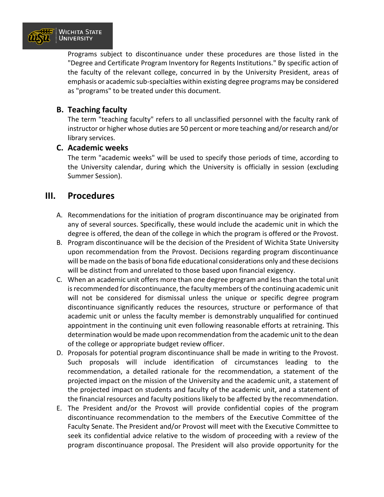

Programs subject to discontinuance under these procedures are those listed in the "Degree and Certificate Program Inventory for Regents Institutions." By specific action of the faculty of the relevant college, concurred in by the University President, areas of emphasis or academic sub-specialties within existing degree programs may be considered as "programs" to be treated under this document.

#### **B. Teaching faculty**

The term "teaching faculty" refers to all unclassified personnel with the faculty rank of instructor or higher whose duties are 50 percent or more teaching and/or research and/or library services.

#### **C. Academic weeks**

The term "academic weeks" will be used to specify those periods of time, according to the University calendar, during which the University is officially in session (excluding Summer Session).

#### **III. Procedures**

- A. Recommendations for the initiation of program discontinuance may be originated from any of several sources. Specifically, these would include the academic unit in which the degree is offered, the dean of the college in which the program is offered or the Provost.
- B. Program discontinuance will be the decision of the President of Wichita State University upon recommendation from the Provost. Decisions regarding program discontinuance will be made on the basis of bona fide educational considerations only and these decisions will be distinct from and unrelated to those based upon financial exigency.
- C. When an academic unit offers more than one degree program and less than the total unit is recommended for discontinuance, the faculty members of the continuing academic unit will not be considered for dismissal unless the unique or specific degree program discontinuance significantly reduces the resources, structure or performance of that academic unit or unless the faculty member is demonstrably unqualified for continued appointment in the continuing unit even following reasonable efforts at retraining. This determination would be made upon recommendation from the academic unit to the dean of the college or appropriate budget review officer.
- D. Proposals for potential program discontinuance shall be made in writing to the Provost. Such proposals will include identification of circumstances leading to the recommendation, a detailed rationale for the recommendation, a statement of the projected impact on the mission of the University and the academic unit, a statement of the projected impact on students and faculty of the academic unit, and a statement of the financial resources and faculty positions likely to be affected by the recommendation.
- E. The President and/or the Provost will provide confidential copies of the program discontinuance recommendation to the members of the Executive Committee of the Faculty Senate. The President and/or Provost will meet with the Executive Committee to seek its confidential advice relative to the wisdom of proceeding with a review of the program discontinuance proposal. The President will also provide opportunity for the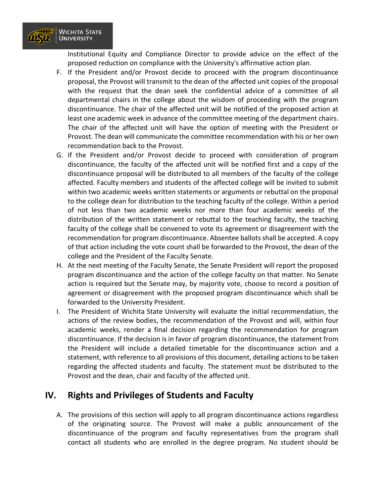

Institutional Equity and Compliance Director to provide advice on the effect of the proposed reduction on compliance with the University's affirmative action plan.

- F. If the President and/or Provost decide to proceed with the program discontinuance proposal, the Provost will transmit to the dean of the affected unit copies of the proposal with the request that the dean seek the confidential advice of a committee of all departmental chairs in the college about the wisdom of proceeding with the program discontinuance. The chair of the affected unit will be notified of the proposed action at least one academic week in advance of the committee meeting of the department chairs. The chair of the affected unit will have the option of meeting with the President or Provost. The dean will communicate the committee recommendation with his or her own recommendation back to the Provost.
- G. If the President and/or Provost decide to proceed with consideration of program discontinuance, the faculty of the affected unit will be notified first and a copy of the discontinuance proposal will be distributed to all members of the faculty of the college affected. Faculty members and students of the affected college will be invited to submit within two academic weeks written statements or arguments or rebuttal on the proposal to the college dean for distribution to the teaching faculty of the college. Within a period of not less than two academic weeks nor more than four academic weeks of the distribution of the written statement or rebuttal to the teaching faculty, the teaching faculty of the college shall be convened to vote its agreement or disagreement with the recommendation for program discontinuance. Absentee ballots shall be accepted. A copy of that action including the vote count shall be forwarded to the Provost, the dean of the college and the President of the Faculty Senate.
- H. At the next meeting of the Faculty Senate, the Senate President will report the proposed program discontinuance and the action of the college faculty on that matter. No Senate action is required but the Senate may, by majority vote, choose to record a position of agreement or disagreement with the proposed program discontinuance which shall be forwarded to the University President.
- I. The President of Wichita State University will evaluate the initial recommendation, the actions of the review bodies, the recommendation of the Provost and will, within four academic weeks, render a final decision regarding the recommendation for program discontinuance. If the decision is in favor of program discontinuance, the statement from the President will include a detailed timetable for the discontinuance action and a statement, with reference to all provisions of this document, detailing actions to be taken regarding the affected students and faculty. The statement must be distributed to the Provost and the dean, chair and faculty of the affected unit.

## **IV. Rights and Privileges of Students and Faculty**

A. The provisions of this section will apply to all program discontinuance actions regardless of the originating source. The Provost will make a public announcement of the discontinuance of the program and faculty representatives from the program shall contact all students who are enrolled in the degree program. No student should be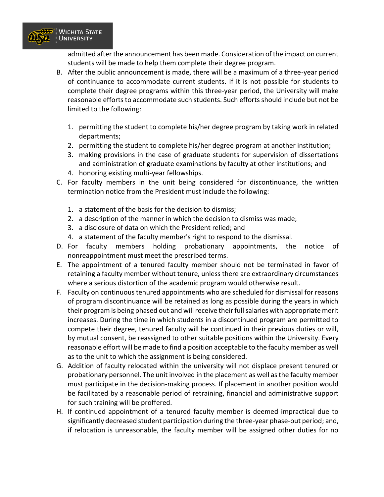

admitted after the announcement has been made. Consideration of the impact on current students will be made to help them complete their degree program.

- B. After the public announcement is made, there will be a maximum of a three-year period of continuance to accommodate current students. If it is not possible for students to complete their degree programs within this three-year period, the University will make reasonable efforts to accommodate such students. Such efforts should include but not be limited to the following:
	- 1. permitting the student to complete his/her degree program by taking work in related departments;
	- 2. permitting the student to complete his/her degree program at another institution;
	- 3. making provisions in the case of graduate students for supervision of dissertations and administration of graduate examinations by faculty at other institutions; and
	- 4. honoring existing multi-year fellowships.
- C. For faculty members in the unit being considered for discontinuance, the written termination notice from the President must include the following:
	- 1. a statement of the basis for the decision to dismiss;
	- 2. a description of the manner in which the decision to dismiss was made;
	- 3. a disclosure of data on which the President relied; and
	- 4. a statement of the faculty member's right to respond to the dismissal.
- D. For faculty members holding probationary appointments, the notice of nonreappointment must meet the prescribed terms.
- E. The appointment of a tenured faculty member should not be terminated in favor of retaining a faculty member without tenure, unless there are extraordinary circumstances where a serious distortion of the academic program would otherwise result.
- F. Faculty on continuous tenured appointments who are scheduled for dismissal for reasons of program discontinuance will be retained as long as possible during the years in which their program is being phased out and will receive their full salaries with appropriate merit increases. During the time in which students in a discontinued program are permitted to compete their degree, tenured faculty will be continued in their previous duties or will, by mutual consent, be reassigned to other suitable positions within the University. Every reasonable effort will be made to find a position acceptable to the faculty member as well as to the unit to which the assignment is being considered.
- G. Addition of faculty relocated within the university will not displace present tenured or probationary personnel. The unit involved in the placement as well as the faculty member must participate in the decision-making process. If placement in another position would be facilitated by a reasonable period of retraining, financial and administrative support for such training will be proffered.
- H. If continued appointment of a tenured faculty member is deemed impractical due to significantly decreased student participation during the three-year phase-out period; and, if relocation is unreasonable, the faculty member will be assigned other duties for no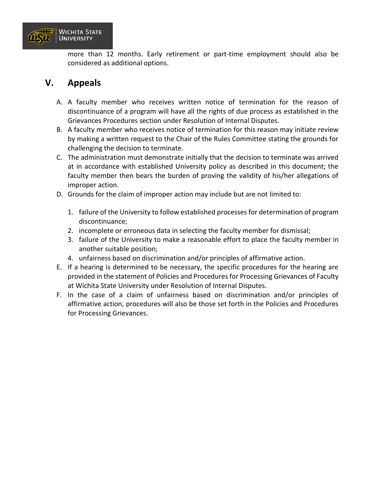

more than 12 months. Early retirement or part-time employment should also be considered as additional options.

# **V. Appeals**

- A. A faculty member who receives written notice of termination for the reason of discontinuance of a program will have all the rights of due process as established in the Grievances Procedures section under Resolution of Internal Disputes.
- B. A faculty member who receives notice of termination for this reason may initiate review by making a written request to the Chair of the Rules Committee stating the grounds for challenging the decision to terminate.
- C. The administration must demonstrate initially that the decision to terminate was arrived at in accordance with established University policy as described in this document; the faculty member then bears the burden of proving the validity of his/her allegations of improper action.
- D. Grounds for the claim of improper action may include but are not limited to:
	- 1. failure of the University to follow established processes for determination of program discontinuance;
	- 2. incomplete or erroneous data in selecting the faculty member for dismissal;
	- 3. failure of the University to make a reasonable effort to place the faculty member in another suitable position;
	- 4. unfairness based on discrimination and/or principles of affirmative action.
- E. If a hearing is determined to be necessary, the specific procedures for the hearing are provided in the statement of Policies and Procedures for Processing Grievances of Faculty at Wichita State University under Resolution of Internal Disputes.
- F. In the case of a claim of unfairness based on discrimination and/or principles of affirmative action, procedures will also be those set forth in the Policies and Procedures for Processing Grievances.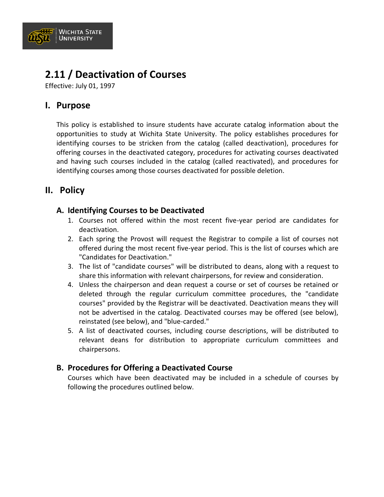

# **2.11 / Deactivation of Courses**

Effective: July 01, 1997

### **I. Purpose**

This policy is established to insure students have accurate catalog information about the opportunities to study at Wichita State University. The policy establishes procedures for identifying courses to be stricken from the catalog (called deactivation), procedures for offering courses in the deactivated category, procedures for activating courses deactivated and having such courses included in the catalog (called reactivated), and procedures for identifying courses among those courses deactivated for possible deletion.

## **II. Policy**

#### **A. Identifying Courses to be Deactivated**

- 1. Courses not offered within the most recent five-year period are candidates for deactivation.
- 2. Each spring the Provost will request the Registrar to compile a list of courses not offered during the most recent five-year period. This is the list of courses which are "Candidates for Deactivation."
- 3. The list of "candidate courses" will be distributed to deans, along with a request to share this information with relevant chairpersons, for review and consideration.
- 4. Unless the chairperson and dean request a course or set of courses be retained or deleted through the regular curriculum committee procedures, the "candidate courses" provided by the Registrar will be deactivated. Deactivation means they will not be advertised in the catalog. Deactivated courses may be offered (see below), reinstated (see below), and "blue-carded."
- 5. A list of deactivated courses, including course descriptions, will be distributed to relevant deans for distribution to appropriate curriculum committees and chairpersons.

#### **B. Procedures for Offering a Deactivated Course**

Courses which have been deactivated may be included in a schedule of courses by following the procedures outlined below.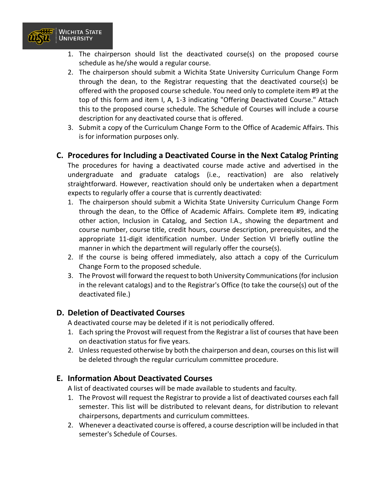

- 1. The chairperson should list the deactivated course(s) on the proposed course schedule as he/she would a regular course.
- 2. The chairperson should submit a Wichita State University Curriculum Change Form through the dean, to the Registrar requesting that the deactivated course(s) be offered with the proposed course schedule. You need only to complete item #9 at the top of this form and item I, A, 1-3 indicating "Offering Deactivated Course." Attach this to the proposed course schedule. The Schedule of Courses will include a course description for any deactivated course that is offered.
- 3. Submit a copy of the Curriculum Change Form to the Office of Academic Affairs. This is for information purposes only.

#### **C. Procedures for Including a Deactivated Course in the Next Catalog Printing**

The procedures for having a deactivated course made active and advertised in the undergraduate and graduate catalogs (i.e., reactivation) are also relatively straightforward. However, reactivation should only be undertaken when a department expects to regularly offer a course that is currently deactivated:

- 1. The chairperson should submit a Wichita State University Curriculum Change Form through the dean, to the Office of Academic Affairs. Complete item #9, indicating other action, Inclusion in Catalog, and Section I.A., showing the department and course number, course title, credit hours, course description, prerequisites, and the appropriate 11-digit identification number. Under Section VI briefly outline the manner in which the department will regularly offer the course(s).
- 2. If the course is being offered immediately, also attach a copy of the Curriculum Change Form to the proposed schedule.
- 3. The Provost will forward the request to both University Communications (for inclusion in the relevant catalogs) and to the Registrar's Office (to take the course(s) out of the deactivated file.)

#### **D. Deletion of Deactivated Courses**

A deactivated course may be deleted if it is not periodically offered.

- 1. Each spring the Provost will request from the Registrar a list of courses that have been on deactivation status for five years.
- 2. Unless requested otherwise by both the chairperson and dean, courses on this list will be deleted through the regular curriculum committee procedure.

#### **E. Information About Deactivated Courses**

A list of deactivated courses will be made available to students and faculty.

- 1. The Provost will request the Registrar to provide a list of deactivated courses each fall semester. This list will be distributed to relevant deans, for distribution to relevant chairpersons, departments and curriculum committees.
- 2. Whenever a deactivated course is offered, a course description will be included in that semester's Schedule of Courses.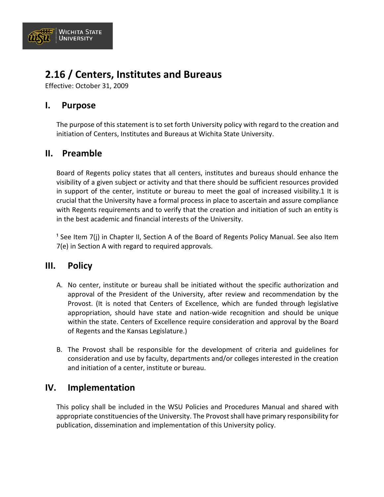

# **2.16 / Centers, Institutes and Bureaus**

Effective: October 31, 2009

### **I. Purpose**

The purpose of this statement is to set forth University policy with regard to the creation and initiation of Centers, Institutes and Bureaus at Wichita State University.

### **II. Preamble**

Board of Regents policy states that all centers, institutes and bureaus should enhance the visibility of a given subject or activity and that there should be sufficient resources provided in support of the center, institute or bureau to meet the goal of increased visibility.1 It is crucial that the University have a formal process in place to ascertain and assure compliance with Regents requirements and to verify that the creation and initiation of such an entity is in the best academic and financial interests of the University.

<sup>1</sup> See Item 7(j) in Chapter II, Section A of the Board of Regents Policy Manual. See also Item 7(e) in Section A with regard to required approvals.

#### **III. Policy**

- A. No center, institute or bureau shall be initiated without the specific authorization and approval of the President of the University, after review and recommendation by the Provost. (It is noted that Centers of Excellence, which are funded through legislative appropriation, should have state and nation-wide recognition and should be unique within the state. Centers of Excellence require consideration and approval by the Board of Regents and the Kansas Legislature.)
- B. The Provost shall be responsible for the development of criteria and guidelines for consideration and use by faculty, departments and/or colleges interested in the creation and initiation of a center, institute or bureau.

#### **IV. Implementation**

This policy shall be included in the WSU Policies and Procedures Manual and shared with appropriate constituencies of the University. The Provost shall have primary responsibility for publication, dissemination and implementation of this University policy.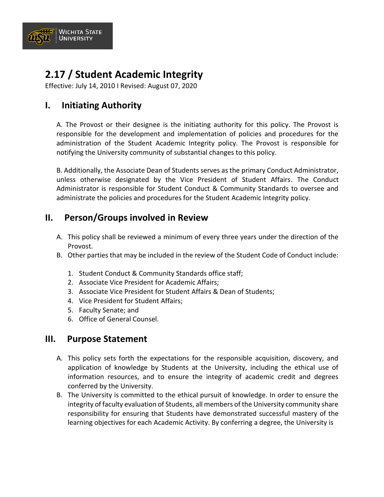

# **2.17 / Student Academic Integrity**

Effective: July 14, 2010 I Revised: August 07, 2020

# **I. Initiating Authority**

A. The Provost or their designee is the initiating authority for this policy. The Provost is responsible for the development and implementation of policies and procedures for the administration of the Student Academic Integrity policy. The Provost is responsible for notifying the University community of substantial changes to this policy.

B. Additionally, the Associate Dean of Students serves as the primary Conduct Administrator, unless otherwise designated by the Vice President of Student Affairs. The Conduct Administrator is responsible for Student Conduct & Community Standards to oversee and administrate the policies and procedures for the Student Academic Integrity policy.

# **II. Person/Groups involved in Review**

- A. This policy shall be reviewed a minimum of every three years under the direction of the Provost.
- B. Other parties that may be included in the review of the Student Code of Conduct include:
	- 1. Student Conduct & Community Standards office staff;
	- 2. Associate Vice President for Academic Affairs;
	- 3. Associate Vice President for Student Affairs & Dean of Students;
	- 4. Vice President for Student Affairs;
	- 5. Faculty Senate; and
	- 6. Office of General Counsel.

## **III. Purpose Statement**

- A. This policy sets forth the expectations for the responsible acquisition, discovery, and application of knowledge by Students at the University, including the ethical use of information resources, and to ensure the integrity of academic credit and degrees conferred by the University.
- B. The University is committed to the ethical pursuit of knowledge. In order to ensure the integrity of faculty evaluation of Students, all members of the University community share responsibility for ensuring that Students have demonstrated successful mastery of the learning objectives for each Academic Activity. By conferring a degree, the University is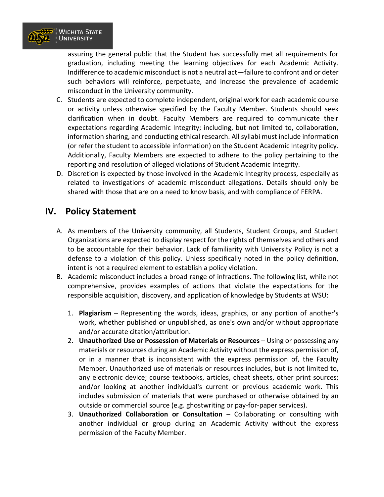

assuring the general public that the Student has successfully met all requirements for graduation, including meeting the learning objectives for each Academic Activity. Indifference to academic misconduct is not a neutral act—failure to confront and or deter such behaviors will reinforce, perpetuate, and increase the prevalence of academic misconduct in the University community.

- C. Students are expected to complete independent, original work for each academic course or activity unless otherwise specified by the Faculty Member. Students should seek clarification when in doubt. Faculty Members are required to communicate their expectations regarding Academic Integrity; including, but not limited to, collaboration, information sharing, and conducting ethical research. All syllabi must include information (or refer the student to accessible information) on the Student Academic Integrity policy. Additionally, Faculty Members are expected to adhere to the policy pertaining to the reporting and resolution of alleged violations of Student Academic Integrity.
- D. Discretion is expected by those involved in the Academic Integrity process, especially as related to investigations of academic misconduct allegations. Details should only be shared with those that are on a need to know basis, and with compliance of FERPA.

# **IV. Policy Statement**

- A. As members of the University community, all Students, Student Groups, and Student Organizations are expected to display respect for the rights of themselves and others and to be accountable for their behavior. Lack of familiarity with University Policy is not a defense to a violation of this policy. Unless specifically noted in the policy definition, intent is not a required element to establish a policy violation.
- B. Academic misconduct includes a broad range of infractions. The following list, while not comprehensive, provides examples of actions that violate the expectations for the responsible acquisition, discovery, and application of knowledge by Students at WSU:
	- 1. **Plagiarism** Representing the words, ideas, graphics, or any portion of another's work, whether published or unpublished, as one's own and/or without appropriate and/or accurate citation/attribution.
	- 2. **Unauthorized Use or Possession of Materials or Resources**  Using or possessing any materials or resources during an Academic Activity without the express permission of, or in a manner that is inconsistent with the express permission of, the Faculty Member. Unauthorized use of materials or resources includes, but is not limited to, any electronic device; course textbooks, articles, cheat sheets, other print sources; and/or looking at another individual's current or previous academic work. This includes submission of materials that were purchased or otherwise obtained by an outside or commercial source (e.g. ghostwriting or pay-for-paper services).
	- 3. **Unauthorized Collaboration or Consultation** Collaborating or consulting with another individual or group during an Academic Activity without the express permission of the Faculty Member.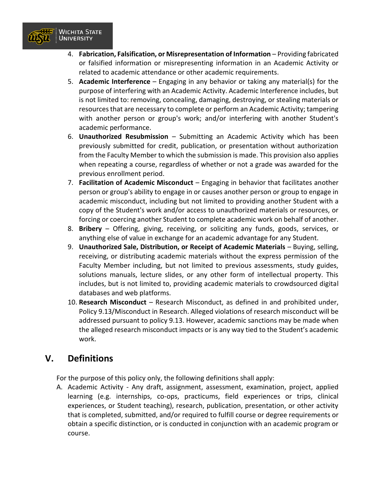

- 4. **Fabrication, Falsification, or Misrepresentation of Information** Providing fabricated or falsified information or misrepresenting information in an Academic Activity or related to academic attendance or other academic requirements.
- 5. **Academic Interference**  Engaging in any behavior or taking any material(s) for the purpose of interfering with an Academic Activity. Academic Interference includes, but is not limited to: removing, concealing, damaging, destroying, or stealing materials or resources that are necessary to complete or perform an Academic Activity; tampering with another person or group's work; and/or interfering with another Student's academic performance.
- 6. **Unauthorized Resubmission** Submitting an Academic Activity which has been previously submitted for credit, publication, or presentation without authorization from the Faculty Member to which the submission is made. This provision also applies when repeating a course, regardless of whether or not a grade was awarded for the previous enrollment period.
- 7. **Facilitation of Academic Misconduct** Engaging in behavior that facilitates another person or group's ability to engage in or causes another person or group to engage in academic misconduct, including but not limited to providing another Student with a copy of the Student's work and/or access to unauthorized materials or resources, or forcing or coercing another Student to complete academic work on behalf of another.
- 8. **Bribery** Offering, giving, receiving, or soliciting any funds, goods, services, or anything else of value in exchange for an academic advantage for any Student.
- 9. **Unauthorized Sale, Distribution, or Receipt of Academic Materials** Buying, selling, receiving, or distributing academic materials without the express permission of the Faculty Member including, but not limited to previous assessments, study guides, solutions manuals, lecture slides, or any other form of intellectual property. This includes, but is not limited to, providing academic materials to crowdsourced digital databases and web platforms.
- 10. **Research Misconduct** Research Misconduct, as defined in and prohibited under, Policy 9.13/Misconduct in Research. Alleged violations of research misconduct will be addressed pursuant to policy 9.13. However, academic sanctions may be made when the alleged research misconduct impacts or is any way tied to the Student's academic work.

## **V. Definitions**

For the purpose of this policy only, the following definitions shall apply:

A. Academic Activity - Any draft, assignment, assessment, examination, project, applied learning (e.g. internships, co-ops, practicums, field experiences or trips, clinical experiences, or Student teaching), research, publication, presentation, or other activity that is completed, submitted, and/or required to fulfill course or degree requirements or obtain a specific distinction, or is conducted in conjunction with an academic program or course.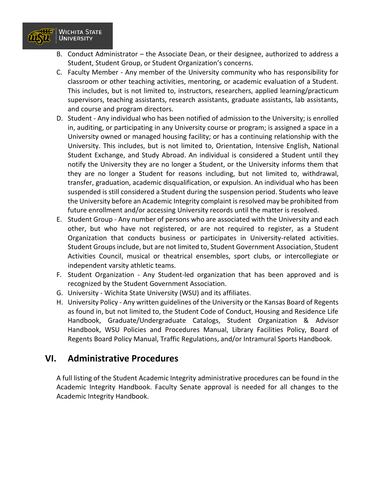

- B. Conduct Administrator the Associate Dean, or their designee, authorized to address a Student, Student Group, or Student Organization's concerns.
- C. Faculty Member Any member of the University community who has responsibility for classroom or other teaching activities, mentoring, or academic evaluation of a Student. This includes, but is not limited to, instructors, researchers, applied learning/practicum supervisors, teaching assistants, research assistants, graduate assistants, lab assistants, and course and program directors.
- D. Student Any individual who has been notified of admission to the University; is enrolled in, auditing, or participating in any University course or program; is assigned a space in a University owned or managed housing facility; or has a continuing relationship with the University. This includes, but is not limited to, Orientation, Intensive English, National Student Exchange, and Study Abroad. An individual is considered a Student until they notify the University they are no longer a Student, or the University informs them that they are no longer a Student for reasons including, but not limited to, withdrawal, transfer, graduation, academic disqualification, or expulsion. An individual who has been suspended is still considered a Student during the suspension period. Students who leave the University before an Academic Integrity complaint is resolved may be prohibited from future enrollment and/or accessing University records until the matter is resolved.
- E. Student Group Any number of persons who are associated with the University and each other, but who have not registered, or are not required to register, as a Student Organization that conducts business or participates in University-related activities. Student Groups include, but are not limited to, Student Government Association, Student Activities Council, musical or theatrical ensembles, sport clubs, or intercollegiate or independent varsity athletic teams.
- F. Student Organization Any Student-led organization that has been approved and is recognized by the Student Government Association.
- G. University Wichita State University (WSU) and its affiliates.
- H. University Policy Any written guidelines of the University or the Kansas Board of Regents as found in, but not limited to, the Student Code of Conduct, Housing and Residence Life Handbook, Graduate/Undergraduate Catalogs, Student Organization & Advisor Handbook, WSU Policies and Procedures Manual, Library Facilities Policy, Board of Regents Board Policy Manual, Traffic Regulations, and/or Intramural Sports Handbook.

#### **VI. Administrative Procedures**

A full listing of the Student Academic Integrity administrative procedures can be found in the Academic Integrity Handbook. Faculty Senate approval is needed for all changes to the Academic Integrity Handbook.